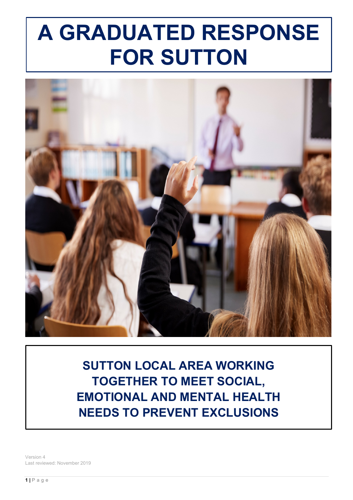# **A GRADUATED RESPONSE FOR SUTTON**



**SUTTON LOCAL AREA WORKING TOGETHER TO MEET SOCIAL, EMOTIONAL AND MENTAL HEALTH NEEDS TO PREVENT EXCLUSIONS**

Version 4 Last reviewed: November 2019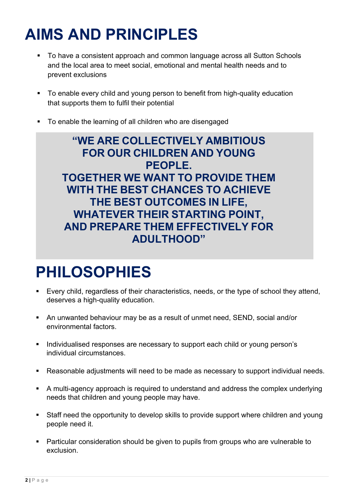# **AIMS AND PRINCIPLES**

- To have a consistent approach and common language across all Sutton Schools and the local area to meet social, emotional and mental health needs and to prevent exclusions
- To enable every child and young person to benefit from high-quality education that supports them to fulfil their potential
- To enable the learning of all children who are disengaged

#### **"WE ARE COLLECTIVELY AMBITIOUS FOR OUR CHILDREN AND YOUNG PEOPLE. TOGETHER WE WANT TO PROVIDE THEM WITH THE BEST CHANCES TO ACHIEVE THE BEST OUTCOMES IN LIFE, WHATEVER THEIR STARTING POINT, AND PREPARE THEM EFFECTIVELY FOR ADULTHOOD"**

# **PHILOSOPHIES**

- Every child, regardless of their characteristics, needs, or the type of school they attend, deserves a high-quality education.
- An unwanted behaviour may be as a result of unmet need, SEND, social and/or environmental factors.
- Individualised responses are necessary to support each child or young person's individual circumstances.
- Reasonable adjustments will need to be made as necessary to support individual needs.
- A multi-agency approach is required to understand and address the complex underlying needs that children and young people may have.
- Staff need the opportunity to develop skills to provide support where children and young people need it.
- Particular consideration should be given to pupils from groups who are vulnerable to exclusion.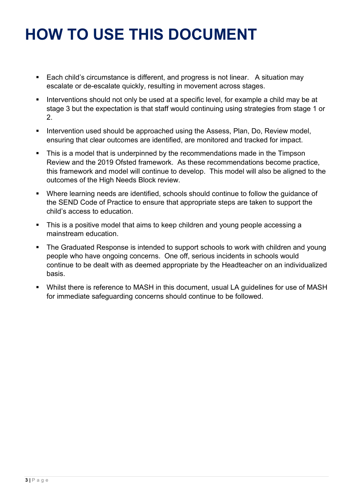# **HOW TO USE THIS DOCUMENT**

- Each child's circumstance is different, and progress is not linear. A situation may escalate or de-escalate quickly, resulting in movement across stages.
- Interventions should not only be used at a specific level, for example a child may be at stage 3 but the expectation is that staff would continuing using strategies from stage 1 or 2.
- Intervention used should be approached using the Assess, Plan, Do, Review model, ensuring that clear outcomes are identified, are monitored and tracked for impact.
- This is a model that is underpinned by the recommendations made in the Timpson Review and the 2019 Ofsted framework. As these recommendations become practice, this framework and model will continue to develop. This model will also be aligned to the outcomes of the High Needs Block review.
- Where learning needs are identified, schools should continue to follow the guidance of the SEND Code of Practice to ensure that appropriate steps are taken to support the child's access to education.
- This is a positive model that aims to keep children and young people accessing a mainstream education.
- The Graduated Response is intended to support schools to work with children and young people who have ongoing concerns. One off, serious incidents in schools would continue to be dealt with as deemed appropriate by the Headteacher on an individualized basis.
- Whilst there is reference to MASH in this document, usual LA guidelines for use of MASH for immediate safeguarding concerns should continue to be followed.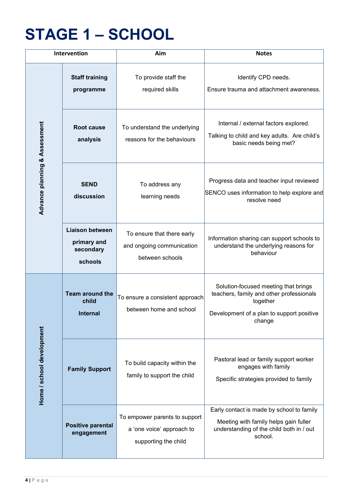# **STAGE 1 – SCHOOL**

| Intervention                  |                                                               | Aim                                                                                | <b>Notes</b>                                                                                                                                        |
|-------------------------------|---------------------------------------------------------------|------------------------------------------------------------------------------------|-----------------------------------------------------------------------------------------------------------------------------------------------------|
|                               | <b>Staff training</b><br>programme                            | To provide staff the<br>required skills                                            | Identify CPD needs.<br>Ensure trauma and attachment awareness.                                                                                      |
| Advance planning & Assessment | <b>Root cause</b><br>analysis                                 | To understand the underlying<br>reasons for the behaviours                         | Internal / external factors explored.<br>Talking to child and key adults. Are child's<br>basic needs being met?                                     |
|                               | <b>SEND</b><br>discussion                                     | To address any<br>learning needs                                                   | Progress data and teacher input reviewed<br>SENCO uses information to help explore and<br>resolve need                                              |
|                               | <b>Liaison between</b><br>primary and<br>secondary<br>schools | To ensure that there early<br>and ongoing communication<br>between schools         | Information sharing can support schools to<br>understand the underlying reasons for<br>behaviour                                                    |
| Home / school development     | <b>Team around the</b><br>child<br>Internal                   | To ensure a consistent approach<br>between home and school                         | Solution-focused meeting that brings<br>teachers, family and other professionals<br>together<br>Development of a plan to support positive<br>change |
|                               | <b>Family Support</b>                                         | To build capacity within the<br>family to support the child                        | Pastoral lead or family support worker<br>engages with family<br>Specific strategies provided to family                                             |
|                               | <b>Positive parental</b><br>engagement                        | To empower parents to support<br>a 'one voice' approach to<br>supporting the child | Early contact is made by school to family<br>Meeting with family helps gain fuller<br>understanding of the child both in / out<br>school.           |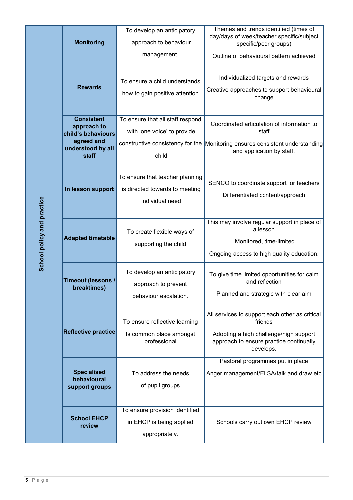|                                          | To develop an anticipatory       | Themes and trends identified (times of                                       |  |
|------------------------------------------|----------------------------------|------------------------------------------------------------------------------|--|
| <b>Monitoring</b>                        | approach to behaviour            | day/days of week/teacher specific/subject<br>specific/peer groups)           |  |
|                                          | management.                      |                                                                              |  |
|                                          |                                  | Outline of behavioural pattern achieved                                      |  |
|                                          |                                  | Individualized targets and rewards                                           |  |
| <b>Rewards</b>                           | To ensure a child understands    | Creative approaches to support behavioural                                   |  |
|                                          | how to gain positive attention   | change                                                                       |  |
|                                          |                                  |                                                                              |  |
| <b>Consistent</b>                        | To ensure that all staff respond | Coordinated articulation of information to                                   |  |
| approach to<br>child's behaviours        | with 'one voice' to provide      | staff                                                                        |  |
| agreed and<br>understood by all          |                                  | constructive consistency for the Monitoring ensures consistent understanding |  |
| staff                                    | child                            | and application by staff.                                                    |  |
|                                          |                                  |                                                                              |  |
|                                          | To ensure that teacher planning  | SENCO to coordinate support for teachers                                     |  |
| In lesson support                        | is directed towards to meeting   | Differentiated content/approach                                              |  |
|                                          | individual need                  |                                                                              |  |
|                                          |                                  |                                                                              |  |
|                                          |                                  | This may involve regular support in place of<br>a lesson                     |  |
| <b>Adapted timetable</b>                 | To create flexible ways of       | Monitored, time-limited                                                      |  |
|                                          | supporting the child             | Ongoing access to high quality education.                                    |  |
|                                          |                                  |                                                                              |  |
|                                          | To develop an anticipatory       | To give time limited opportunities for calm                                  |  |
| <b>Timeout (lessons /</b><br>breaktimes) | approach to prevent              | and reflection                                                               |  |
|                                          | behaviour escalation.            | Planned and strategic with clear aim                                         |  |
|                                          |                                  | All services to support each other as critical                               |  |
|                                          | To ensure reflective learning    | friends                                                                      |  |
| <b>Reflective practice</b>               | Is common place amongst          | Adopting a high challenge/high support                                       |  |
|                                          | professional                     | approach to ensure practice continually<br>develops.                         |  |
|                                          |                                  | Pastoral programmes put in place                                             |  |
| <b>Specialised</b>                       | To address the needs             | Anger management/ELSA/talk and draw etc                                      |  |
| behavioural<br>support groups            | of pupil groups                  |                                                                              |  |
|                                          |                                  |                                                                              |  |
|                                          | To ensure provision identified   |                                                                              |  |
| <b>School EHCP</b>                       | in EHCP is being applied         | Schools carry out own EHCP review                                            |  |
| review                                   | appropriately.                   |                                                                              |  |
|                                          |                                  |                                                                              |  |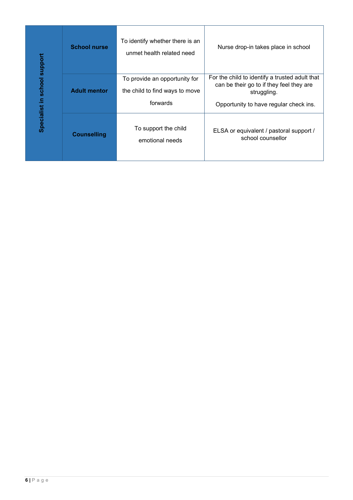|                              | <b>School nurse</b> | To identify whether there is an<br>unmet health related need                | Nurse drop-in takes place in school                                                                                                                 |
|------------------------------|---------------------|-----------------------------------------------------------------------------|-----------------------------------------------------------------------------------------------------------------------------------------------------|
| Specialist in school support | <b>Adult mentor</b> | To provide an opportunity for<br>the child to find ways to move<br>forwards | For the child to identify a trusted adult that<br>can be their go to if they feel they are<br>struggling.<br>Opportunity to have regular check ins. |
|                              | <b>Counselling</b>  | To support the child<br>emotional needs                                     | ELSA or equivalent / pastoral support /<br>school counsellor                                                                                        |
|                              |                     |                                                                             |                                                                                                                                                     |
|                              |                     |                                                                             |                                                                                                                                                     |
|                              |                     |                                                                             |                                                                                                                                                     |
|                              |                     |                                                                             |                                                                                                                                                     |
|                              |                     |                                                                             |                                                                                                                                                     |
|                              |                     |                                                                             |                                                                                                                                                     |
|                              |                     |                                                                             |                                                                                                                                                     |
| $6 P$ a g e                  |                     |                                                                             |                                                                                                                                                     |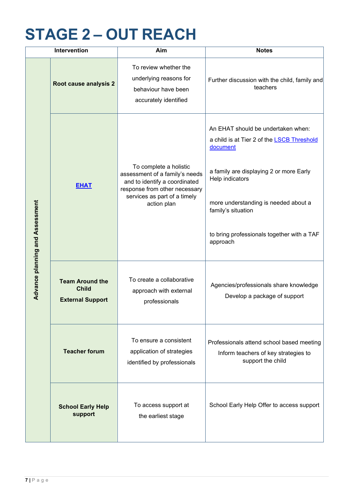# **STAGE 2 – OUT REACH**

| Intervention                    |                                                                   | Aim                                                                                                                                                                       | <b>Notes</b>                                                                                                                                                                                                                                                                       |
|---------------------------------|-------------------------------------------------------------------|---------------------------------------------------------------------------------------------------------------------------------------------------------------------------|------------------------------------------------------------------------------------------------------------------------------------------------------------------------------------------------------------------------------------------------------------------------------------|
| Advance planning and Assessment | Root cause analysis 2                                             | To review whether the<br>underlying reasons for<br>behaviour have been<br>accurately identified                                                                           | Further discussion with the child, family and<br>teachers                                                                                                                                                                                                                          |
|                                 | <b>EHAT</b>                                                       | To complete a holistic<br>assessment of a family's needs<br>and to identify a coordinated<br>response from other necessary<br>services as part of a timely<br>action plan | An EHAT should be undertaken when:<br>a child is at Tier 2 of the LSCB Threshold<br>document<br>a family are displaying 2 or more Early<br>Help indicators<br>more understanding is needed about a<br>family's situation<br>to bring professionals together with a TAF<br>approach |
|                                 | <b>Team Around the</b><br><b>Child</b><br><b>External Support</b> | To create a collaborative<br>approach with external<br>professionals                                                                                                      | Agencies/professionals share knowledge<br>Develop a package of support                                                                                                                                                                                                             |
|                                 | <b>Teacher forum</b>                                              | To ensure a consistent<br>application of strategies<br>identified by professionals                                                                                        | Professionals attend school based meeting<br>Inform teachers of key strategies to<br>support the child                                                                                                                                                                             |
|                                 | <b>School Early Help</b><br>support                               | To access support at<br>the earliest stage                                                                                                                                | School Early Help Offer to access support                                                                                                                                                                                                                                          |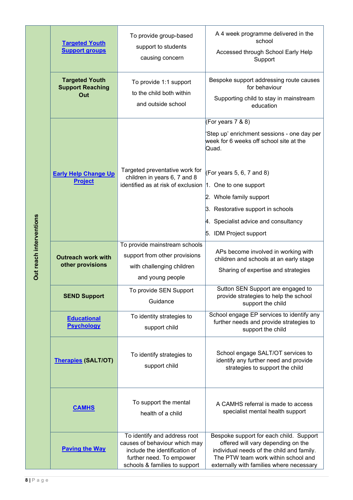| Out reach interventions | <b>Targeted Youth</b><br><b>Support groups</b>          | To provide group-based<br>support to students<br>causing concern                                                                                            | A 4 week programme delivered in the<br>school<br>Accessed through School Early Help<br>Support                                                                                                                |
|-------------------------|---------------------------------------------------------|-------------------------------------------------------------------------------------------------------------------------------------------------------------|---------------------------------------------------------------------------------------------------------------------------------------------------------------------------------------------------------------|
|                         | <b>Targeted Youth</b><br><b>Support Reaching</b><br>Out | To provide 1:1 support<br>to the child both within<br>and outside school                                                                                    | Bespoke support addressing route causes<br>for behaviour<br>Supporting child to stay in mainstream<br>education                                                                                               |
|                         | <b>Early Help Change Up</b><br><b>Project</b>           | Targeted preventative work for<br>children in years 6, 7 and 8<br>identified as at risk of exclusion  1. One to one support                                 | (For years $7 & 80$ )<br>'Step up' enrichment sessions - one day per<br>week for 6 weeks off school site at the<br>Quad.<br>(For years 5, 6, 7 and 8)<br>2. Whole family support                              |
|                         |                                                         |                                                                                                                                                             | 3. Restorative support in schools<br>4. Specialist advice and consultancy<br>5. IDM Project support                                                                                                           |
|                         | <b>Outreach work with</b><br>other provisions           | To provide mainstream schools<br>support from other provisions<br>with challenging children<br>and young people                                             | APs become involved in working with<br>children and schools at an early stage<br>Sharing of expertise and strategies                                                                                          |
|                         | <b>SEND Support</b>                                     | To provide SEN Support<br>Guidance                                                                                                                          | Sutton SEN Support are engaged to<br>provide strategies to help the school<br>support the child                                                                                                               |
|                         | <b>Educational</b><br><b>Psychology</b>                 | To identity strategies to<br>support child                                                                                                                  | School engage EP services to identify any<br>further needs and provide strategies to<br>support the child                                                                                                     |
|                         | <b>Therapies (SALT/OT)</b>                              | To identify strategies to<br>support child                                                                                                                  | School engage SALT/OT services to<br>identify any further need and provide<br>strategies to support the child                                                                                                 |
|                         | <b>CAMHS</b>                                            | To support the mental<br>health of a child                                                                                                                  | A CAMHS referral is made to access<br>specialist mental health support                                                                                                                                        |
|                         | <b>Paving the Way</b>                                   | To identify and address root<br>causes of behaviour which may<br>include the identification of<br>further need. To empower<br>schools & families to support | Bespoke support for each child. Support<br>offered will vary depending on the<br>individual needs of the child and family.<br>The PTW team work within school and<br>externally with families where necessary |
| $8$   $P$ a g e         |                                                         |                                                                                                                                                             |                                                                                                                                                                                                               |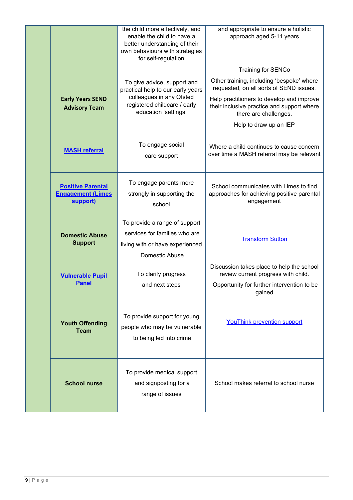|                                                                  | the child more effectively, and<br>enable the child to have a<br>better understanding of their<br>own behaviours with strategies<br>for self-regulation | and appropriate to ensure a holistic<br>approach aged 5-11 years                                                                                                                                                                                         |
|------------------------------------------------------------------|---------------------------------------------------------------------------------------------------------------------------------------------------------|----------------------------------------------------------------------------------------------------------------------------------------------------------------------------------------------------------------------------------------------------------|
| <b>Early Years SEND</b><br><b>Advisory Team</b>                  | To give advice, support and<br>practical help to our early years<br>colleagues in any Ofsted<br>registered childcare / early<br>education 'settings'    | Training for SENCo<br>Other training, including 'bespoke' where<br>requested, on all sorts of SEND issues.<br>Help practitioners to develop and improve<br>their inclusive practice and support where<br>there are challenges.<br>Help to draw up an IEP |
| <b>MASH referral</b>                                             | To engage social<br>care support                                                                                                                        | Where a child continues to cause concern<br>over time a MASH referral may be relevant                                                                                                                                                                    |
| <b>Positive Parental</b><br><b>Engagement (Limes</b><br>support) | To engage parents more<br>strongly in supporting the<br>school                                                                                          | School communicates with Limes to find<br>approaches for achieving positive parental<br>engagement                                                                                                                                                       |
| <b>Domestic Abuse</b><br><b>Support</b>                          | To provide a range of support<br>services for families who are<br>living with or have experienced<br>Domestic Abuse                                     | <b>Transform Sutton</b>                                                                                                                                                                                                                                  |
| <b>Vulnerable Pupil</b><br><b>Panel</b>                          | To clarify progress<br>and next steps                                                                                                                   | Discussion takes place to help the school<br>review current progress with child.<br>Opportunity for further intervention to be<br>gained                                                                                                                 |
| <b>Youth Offending</b><br><b>Team</b>                            | To provide support for young<br>people who may be vulnerable<br>to being led into crime                                                                 | <b>YouThink prevention support</b>                                                                                                                                                                                                                       |
| <b>School nurse</b>                                              | To provide medical support<br>and signposting for a<br>range of issues                                                                                  | School makes referral to school nurse                                                                                                                                                                                                                    |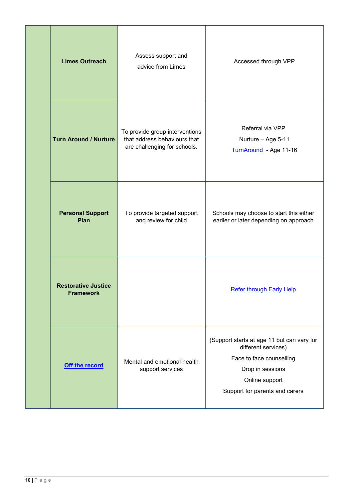| <b>Limes Outreach</b>                          | Assess support and<br>advice from Limes                                                        | Accessed through VPP                                                                                                                                                  |
|------------------------------------------------|------------------------------------------------------------------------------------------------|-----------------------------------------------------------------------------------------------------------------------------------------------------------------------|
| <b>Turn Around / Nurture</b>                   | To provide group interventions<br>that address behaviours that<br>are challenging for schools. | Referral via VPP<br>Nurture - Age 5-11<br>TurnAround - Age 11-16                                                                                                      |
| <b>Personal Support</b><br>Plan                | To provide targeted support<br>and review for child                                            | Schools may choose to start this either<br>earlier or later depending on approach                                                                                     |
| <b>Restorative Justice</b><br><b>Framework</b> |                                                                                                | <b>Refer through Early Help</b>                                                                                                                                       |
| <b>Off the record</b>                          | Mental and emotional health<br>support services                                                | (Support starts at age 11 but can vary for<br>different services)<br>Face to face counselling<br>Drop in sessions<br>Online support<br>Support for parents and carers |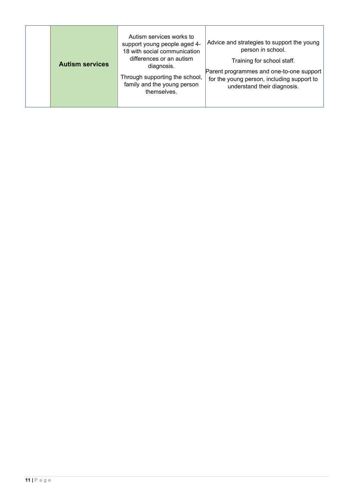|  | <b>Autism services</b> | Autism services works to<br>support young people aged 4-<br>18 with social communication<br>differences or an autism<br>diagnosis.<br>Through supporting the school,<br>family and the young person<br>themselves. | Advice and strategies to support the young<br>person in school.<br>Training for school staff.<br>Parent programmes and one-to-one support<br>for the young person, including support to<br>understand their diagnosis. |
|--|------------------------|--------------------------------------------------------------------------------------------------------------------------------------------------------------------------------------------------------------------|------------------------------------------------------------------------------------------------------------------------------------------------------------------------------------------------------------------------|
|--|------------------------|--------------------------------------------------------------------------------------------------------------------------------------------------------------------------------------------------------------------|------------------------------------------------------------------------------------------------------------------------------------------------------------------------------------------------------------------------|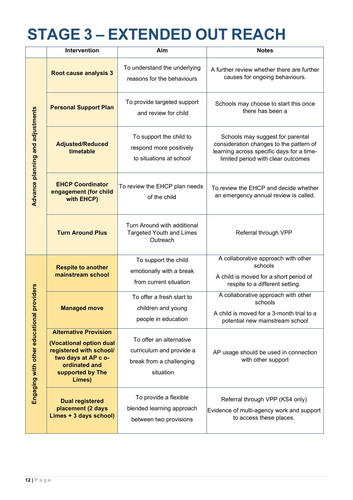### **STAGE 3 – EXTENDED OUT REACH**

|                                              | Intervention                                                                                                                                             | Aim                                                                                          | <b>Notes</b>                                                                                                                                                   |
|----------------------------------------------|----------------------------------------------------------------------------------------------------------------------------------------------------------|----------------------------------------------------------------------------------------------|----------------------------------------------------------------------------------------------------------------------------------------------------------------|
| Advance planning and adjustments             | Root cause analysis 3                                                                                                                                    | To understand the underlying<br>reasons for the behaviours                                   | A further review whether there are further<br>causes for ongoing behaviours.                                                                                   |
|                                              | <b>Personal Support Plan</b>                                                                                                                             | To provide targeted support<br>and review for child                                          | Schools may choose to start this once<br>there has been a                                                                                                      |
|                                              | <b>Adjusted/Reduced</b><br>timetable                                                                                                                     | To support the child to<br>respond more positively<br>to situations at school                | Schools may suggest for parental<br>consideration changes to the pattern of<br>learning across specific days for a time-<br>limited period with clear outcomes |
|                                              | <b>EHCP Coordinator</b><br>engagement (for child<br>with EHCP)                                                                                           | To review the EHCP plan needs<br>of the child                                                | To review the EHCP and decide whether<br>an emergency annual review is called.                                                                                 |
|                                              | <b>Turn Around Plus</b>                                                                                                                                  | Turn Around with additional<br><b>Targeted Youth and Limes</b><br>Outreach                   | Referral through VPP                                                                                                                                           |
| providers<br>Engaging with other educational | <b>Respite to another</b><br>mainstream school                                                                                                           | To support the child<br>emotionally with a break<br>from current situation                   | A collaborative approach with other<br>schools<br>A child is moved for a short period of<br>respite to a different setting.                                    |
|                                              | <b>Managed move</b>                                                                                                                                      | To offer a fresh start to<br>children and young<br>people in education                       | A collaborative approach with other<br>schools<br>A child is moved for a 3-month trial to a<br>potential new mainstream school                                 |
|                                              | <b>Alternative Provision</b><br>(Vocational option dual<br>registered with school/<br>two days at AP c o-<br>ordinated and<br>supported by The<br>Limes) | To offer an alternative<br>curriculum and provide a<br>break from a challenging<br>situation | AP usage should be used in connection<br>with other support                                                                                                    |
|                                              | <b>Dual registered</b><br>placement (2 days<br>Limes + 3 days school)                                                                                    | To provide a flexible<br>blended learning approach<br>between two provisions                 | Referral through VPP (KS4 only)<br>Evidence of multi-agency work and support<br>to access these places.                                                        |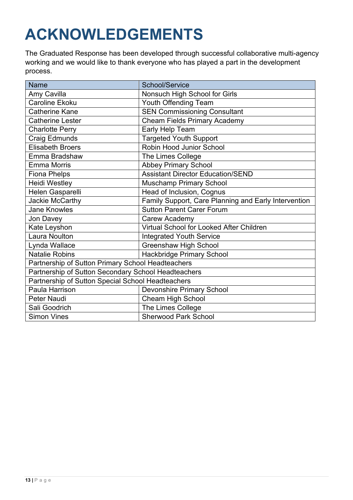# **ACKNOWLEDGEMENTS**

The Graduated Response has been developed through successful collaborative multi-agency working and we would like to thank everyone who has played a part in the development process.

| <b>Name</b>                                         | School/Service                                       |  |
|-----------------------------------------------------|------------------------------------------------------|--|
| Amy Cavilla                                         | Nonsuch High School for Girls                        |  |
| <b>Caroline Ekoku</b>                               | Youth Offending Team                                 |  |
| <b>Catherine Kane</b>                               | <b>SEN Commissioning Consultant</b>                  |  |
| <b>Catherine Lester</b>                             | <b>Cheam Fields Primary Academy</b>                  |  |
| <b>Charlotte Perry</b>                              | Early Help Team                                      |  |
| Craig Edmunds                                       | <b>Targeted Youth Support</b>                        |  |
| <b>Elisabeth Broers</b>                             | Robin Hood Junior School                             |  |
| Emma Bradshaw                                       | The Limes College                                    |  |
| <b>Emma Morris</b>                                  | <b>Abbey Primary School</b>                          |  |
| <b>Fiona Phelps</b>                                 | <b>Assistant Director Education/SEND</b>             |  |
| <b>Heidi Westley</b>                                | <b>Muschamp Primary School</b>                       |  |
| Helen Gasparelli                                    | Head of Inclusion, Cognus                            |  |
| Jackie McCarthy                                     | Family Support, Care Planning and Early Intervention |  |
| <b>Jane Knowles</b>                                 | Sutton Parent Carer Forum                            |  |
| Jon Davey                                           | Carew Academy                                        |  |
| Kate Leyshon                                        | Virtual School for Looked After Children             |  |
| <b>Laura Noulton</b>                                | <b>Integrated Youth Service</b>                      |  |
| Lynda Wallace                                       | <b>Greenshaw High School</b>                         |  |
| <b>Natalie Robins</b>                               | <b>Hackbridge Primary School</b>                     |  |
| Partnership of Sutton Primary School Headteachers   |                                                      |  |
| Partnership of Sutton Secondary School Headteachers |                                                      |  |
| Partnership of Sutton Special School Headteachers   |                                                      |  |
| Paula Harrison                                      | <b>Devonshire Primary School</b>                     |  |
| <b>Peter Naudi</b>                                  | <b>Cheam High School</b>                             |  |
| Sali Goodrich                                       | The Limes College                                    |  |
| <b>Simon Vines</b>                                  | <b>Sherwood Park School</b>                          |  |